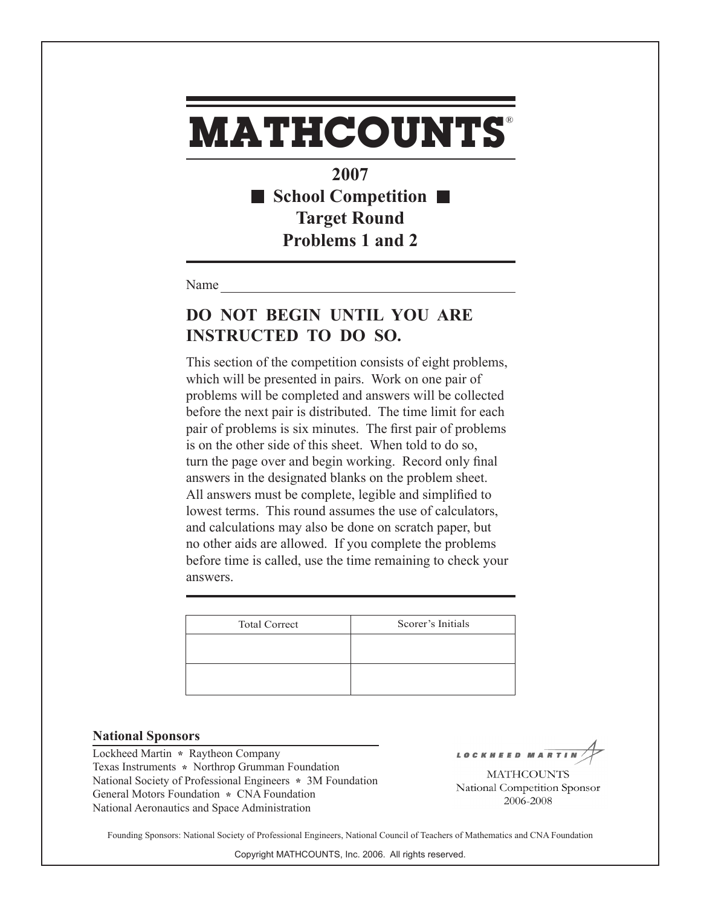**2007** ■ School Competition ■ **Target Round Problems 1 and 2**

Name

### **DO NOT BEGIN UNTIL YOU ARE INSTRUCTED TO DO SO.**

This section of the competition consists of eight problems, which will be presented in pairs. Work on one pair of problems will be completed and answers will be collected before the next pair is distributed. The time limit for each pair of problems is six minutes. The first pair of problems is on the other side of this sheet. When told to do so, turn the page over and begin working. Record only final answers in the designated blanks on the problem sheet. All answers must be complete, legible and simplified to lowest terms. This round assumes the use of calculators, and calculations may also be done on scratch paper, but no other aids are allowed. If you complete the problems before time is called, use the time remaining to check your answers.

| <b>Total Correct</b> | Scorer's Initials |
|----------------------|-------------------|
|                      |                   |
|                      |                   |
|                      |                   |

#### **National Sponsors**

Lockheed Martin **\*** Raytheon Company Texas Instruments **\*** Northrop Grumman Foundation National Society of Professional Engineers **\*** 3M Foundation General Motors Foundation **\*** CNA Foundation National Aeronautics and Space Administration

LOCKHEED MAR

**MATHCOUNTS** National Competition Sponsor 2006-2008

Founding Sponsors: National Society of Professional Engineers, National Council of Teachers of Mathematics and CNA Foundation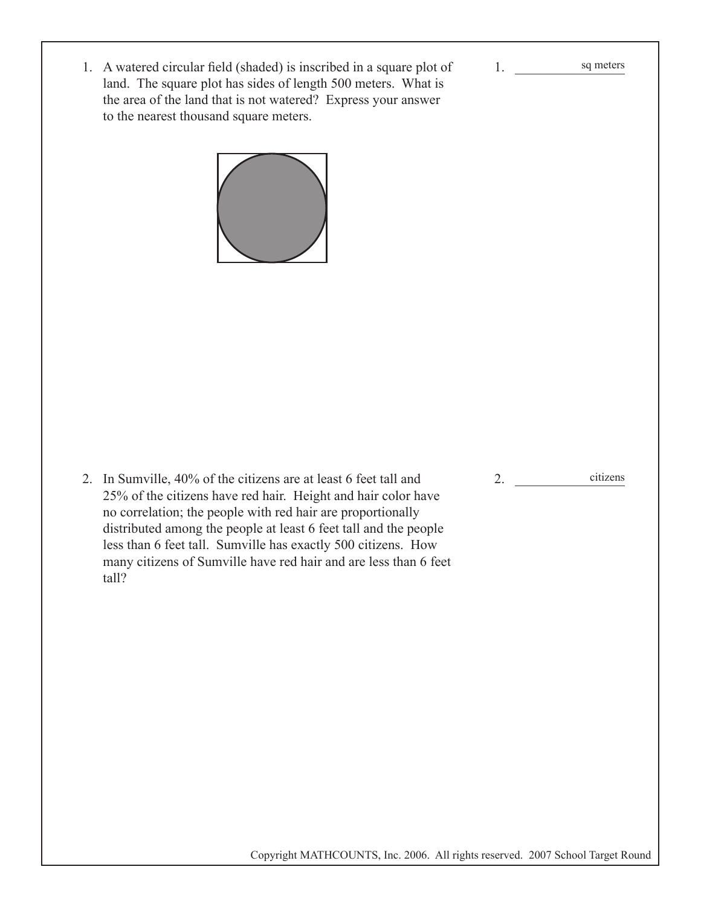1. A watered circular field (shaded) is inscribed in a square plot of land. The square plot has sides of length 500 meters. What is the area of the land that is not watered? Express your answer to the nearest thousand square meters.



2. In Sumville, 40% of the citizens are at least 6 feet tall and 25% of the citizens have red hair. Height and hair color have no correlation; the people with red hair are proportionally distributed among the people at least 6 feet tall and the people less than 6 feet tall. Sumville has exactly 500 citizens. How many citizens of Sumville have red hair and are less than 6 feet tall?

2. \_\_\_\_\_\_\_\_\_\_\_\_\_\_\_\_ citizens

1. \_\_\_\_\_\_\_\_\_\_\_\_\_\_\_\_

sq meters

Copyright MATHCOUNTS, Inc. 2006. All rights reserved. 2007 School Target Round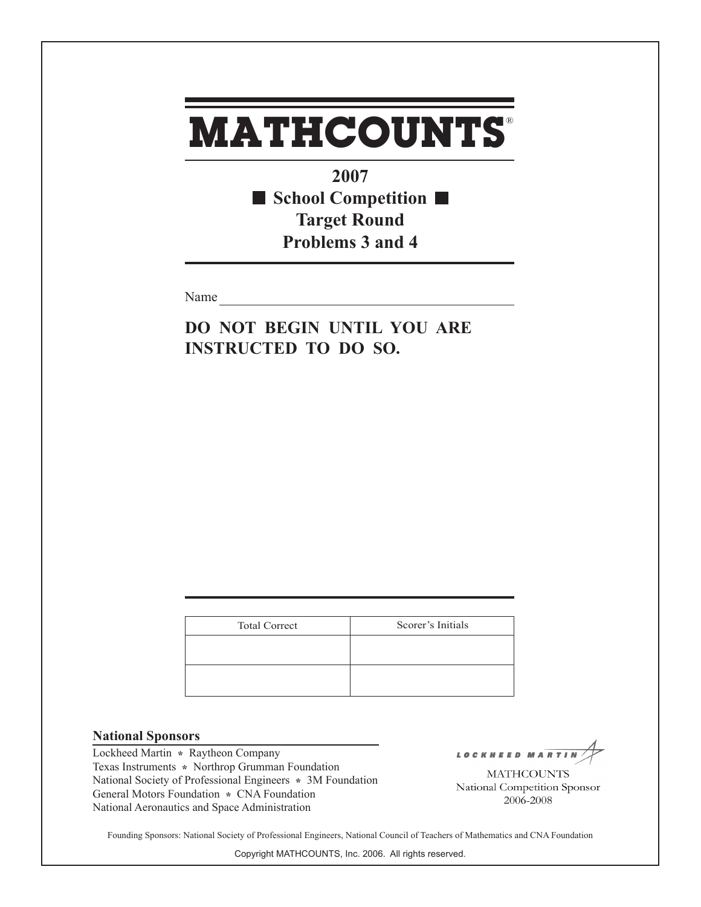**2007 School Competition Target Round Problems 3 and 4**

Name

**DO NOT BEGIN UNTIL YOU ARE INSTRUCTED TO DO SO.**

| <b>Total Correct</b> | Scorer's Initials |
|----------------------|-------------------|
|                      |                   |
|                      |                   |
|                      |                   |

#### **National Sponsors**

Lockheed Martin **\*** Raytheon Company Texas Instruments **\*** Northrop Grumman Foundation National Society of Professional Engineers **\*** 3M Foundation General Motors Foundation **\*** CNA Foundation National Aeronautics and Space Administration

LOCKHEED MAR

**MATHCOUNTS** National Competition Sponsor 2006-2008

Founding Sponsors: National Society of Professional Engineers, National Council of Teachers of Mathematics and CNA Foundation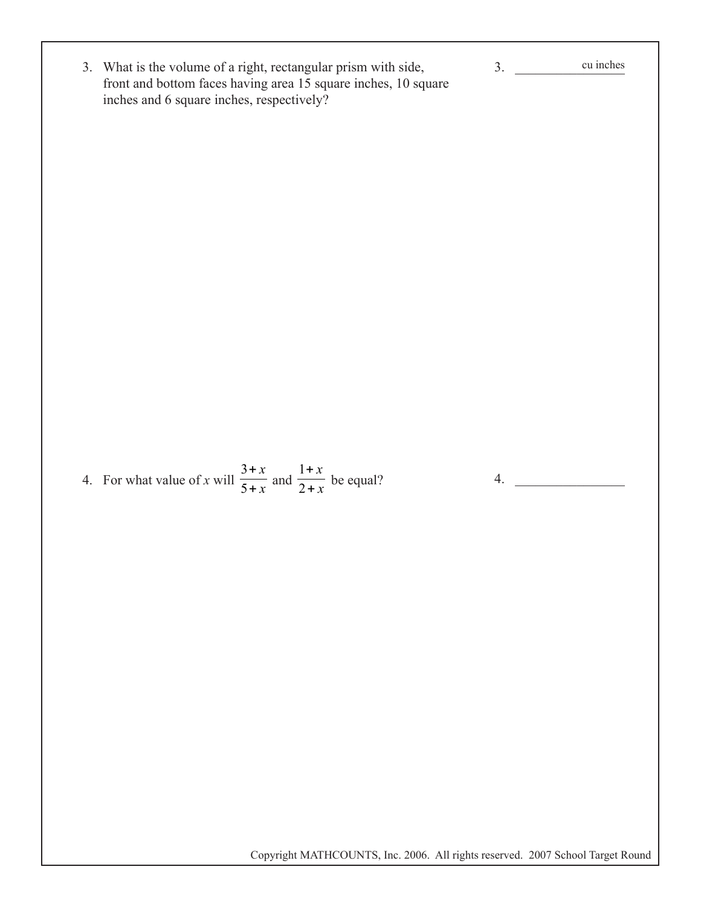| 3. What is the volume of a right, rectangular prism with side,<br>front and bottom faces having area 15 square inches, 10 square<br>inches and 6 square inches, respectively? | 3. | cu inches |
|-------------------------------------------------------------------------------------------------------------------------------------------------------------------------------|----|-----------|
|                                                                                                                                                                               |    |           |
|                                                                                                                                                                               |    |           |
|                                                                                                                                                                               |    |           |
|                                                                                                                                                                               |    |           |
|                                                                                                                                                                               |    |           |
| 4. For what value of x will $\frac{3+x}{5+x}$ and $\frac{1+x}{2+x}$ be equal?                                                                                                 | 4. |           |
|                                                                                                                                                                               |    |           |
|                                                                                                                                                                               |    |           |
|                                                                                                                                                                               |    |           |
|                                                                                                                                                                               |    |           |
|                                                                                                                                                                               |    |           |
| Copyright MATHCOUNTS, Inc. 2006. All rights reserved. 2007 School Target Round                                                                                                |    |           |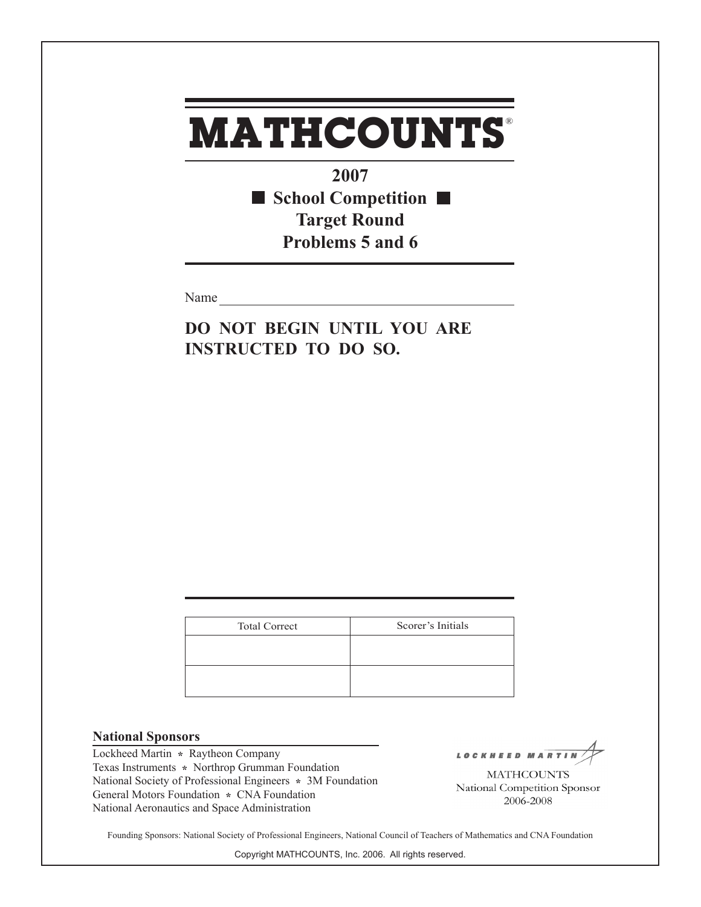**2007** ■ School Competition ■ **Target Round Problems 5 and 6**

Name

**DO NOT BEGIN UNTIL YOU ARE INSTRUCTED TO DO SO.**

| <b>Total Correct</b> | Scorer's Initials |
|----------------------|-------------------|
|                      |                   |
|                      |                   |
|                      |                   |

#### **National Sponsors**

Lockheed Martin **\*** Raytheon Company Texas Instruments **\*** Northrop Grumman Foundation National Society of Professional Engineers **\*** 3M Foundation General Motors Foundation **\*** CNA Foundation National Aeronautics and Space Administration

LOCKHEED MAR

**MATHCOUNTS** National Competition Sponsor 2006-2008

Founding Sponsors: National Society of Professional Engineers, National Council of Teachers of Mathematics and CNA Foundation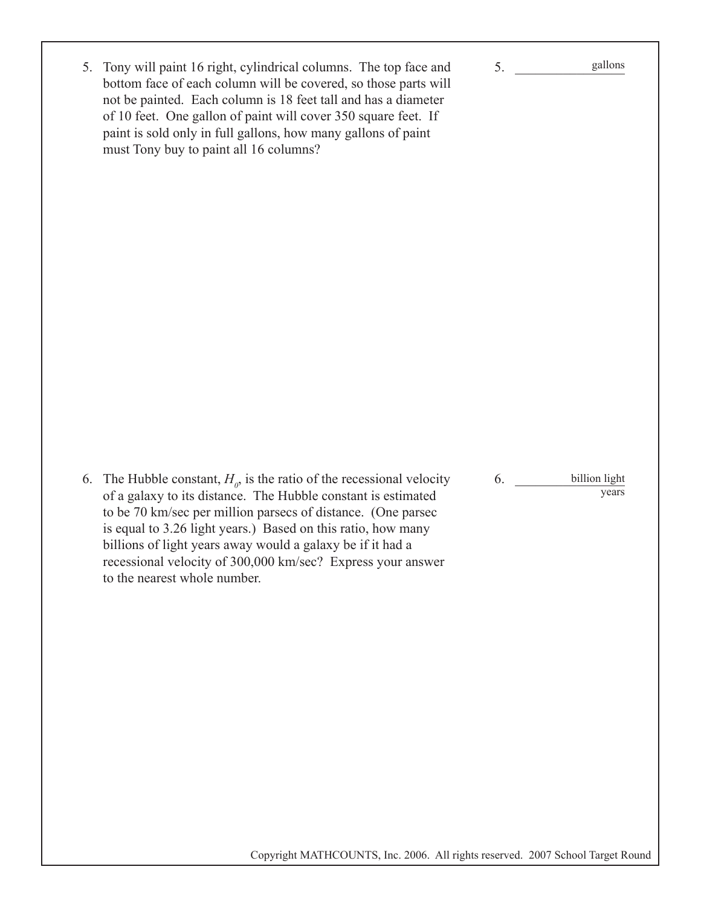| 5. Tony will paint 16 right, cylindrical columns. The top face and |
|--------------------------------------------------------------------|
| bottom face of each column will be covered, so those parts will    |
| not be painted. Each column is 18 feet tall and has a diameter     |
| of 10 feet. One gallon of paint will cover 350 square feet. If     |
| paint is sold only in full gallons, how many gallons of paint      |
| must Tony buy to paint all 16 columns?                             |

6. \_\_\_\_\_\_\_\_\_\_\_\_\_\_\_\_ billion light years

 $5.$ 

gallons

6. The Hubble constant,  $H<sub>o</sub>$ , is the ratio of the recessional velocity of a galaxy to its distance. The Hubble constant is estimated to be 70 km/sec per million parsecs of distance. (One parsec is equal to 3.26 light years.) Based on this ratio, how many billions of light years away would a galaxy be if it had a recessional velocity of 300,000 km/sec? Express your answer to the nearest whole number.

Copyright MATHCOUNTS, Inc. 2006. All rights reserved. 2007 School Target Round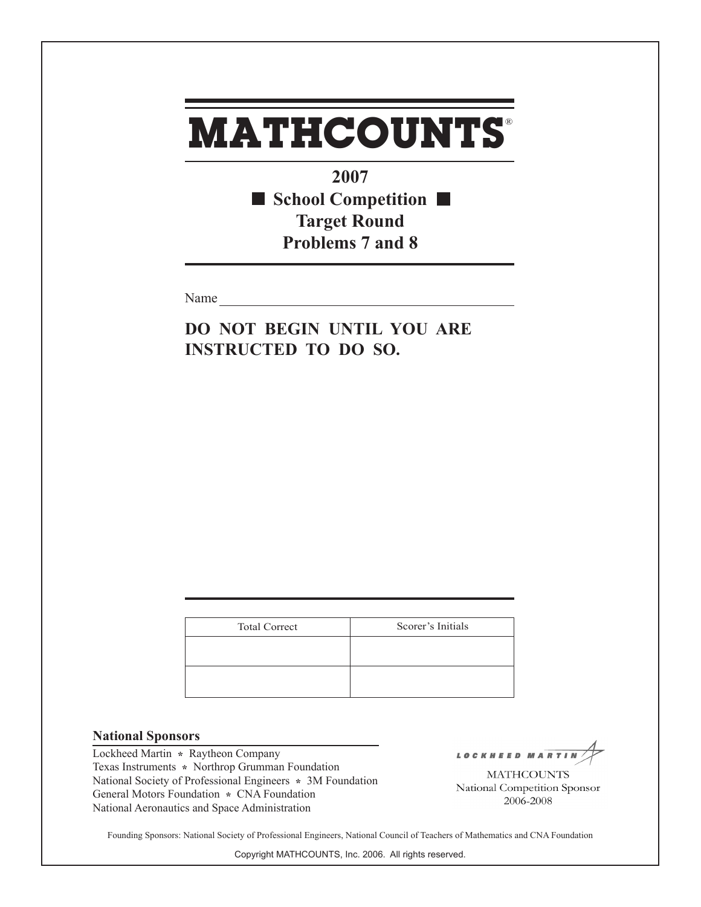**2007** ■ School Competition ■ **Target Round Problems 7 and 8**

Name

**DO NOT BEGIN UNTIL YOU ARE INSTRUCTED TO DO SO.**

| <b>Total Correct</b> | Scorer's Initials |
|----------------------|-------------------|
|                      |                   |
|                      |                   |
|                      |                   |

#### **National Sponsors**

Lockheed Martin **\*** Raytheon Company Texas Instruments **\*** Northrop Grumman Foundation National Society of Professional Engineers **\*** 3M Foundation General Motors Foundation **\*** CNA Foundation National Aeronautics and Space Administration

LOCKHEED MAR

**MATHCOUNTS** National Competition Sponsor 2006-2008

Founding Sponsors: National Society of Professional Engineers, National Council of Teachers of Mathematics and CNA Foundation